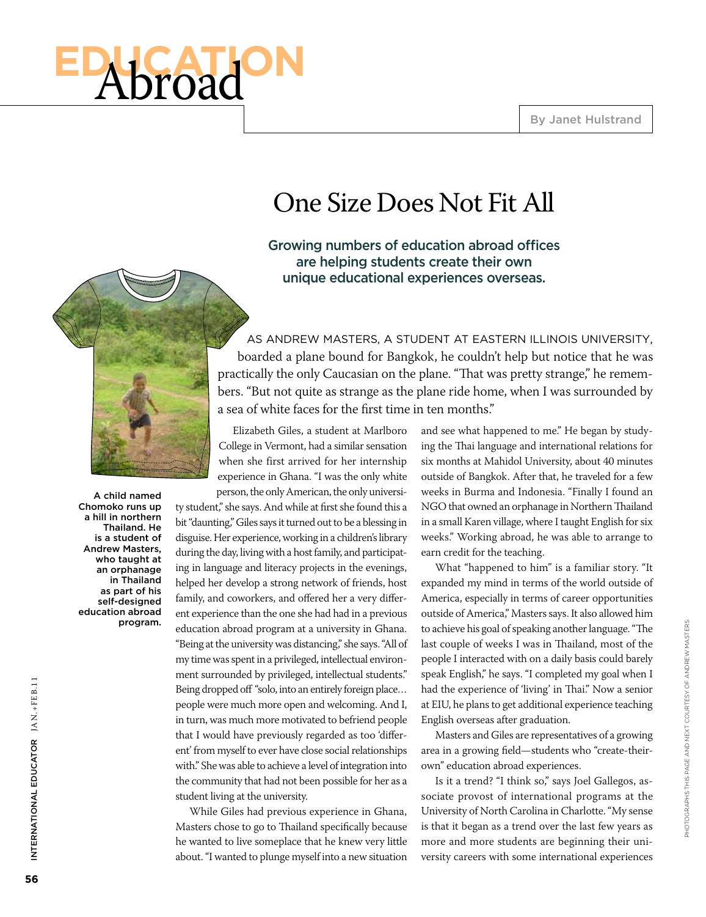# **El'Abroad**

## One Size Does Not Fit All

#### Growing numbers of education abroad offices are helping students create their own unique educational experiences overseas.



A child named Chomoko runs up a hill in northern Thailand. He is a student of Andrew Masters, who taught at an orphanage in Thailand as part of his self-designed education abroad program.

As Andrew Masters, a student at Eastern Illinois University, boarded a plane bound for Bangkok, he couldn't help but notice that he was practically the only Caucasian on the plane. "That was pretty strange," he remembers. "But not quite as strange as the plane ride home, when I was surrounded by a sea of white faces for the first time in ten months."

Elizabeth Giles, a student at Marlboro College in Vermont, had a similar sensation when she first arrived for her internship experience in Ghana. "I was the only white person, the only American, the only universi-

ty student," she says. And while at first she found this a bit "daunting," Giles says it turned out to be a blessing in disguise. Her experience, working in a children's library during the day, living with a host family, and participating in language and literacy projects in the evenings, helped her develop a strong network of friends, host family, and coworkers, and offered her a very different experience than the one she had had in a previous education abroad program at a university in Ghana. "Being at the university was distancing," she says. "All of my time was spent in a privileged, intellectual environment surrounded by privileged, intellectual students." Being dropped off "solo, into an entirely foreign place… people were much more open and welcoming. And I, in turn, was much more motivated to befriend people that I would have previously regarded as too 'different' from myself to ever have close social relationships with." She was able to achieve a level of integration into the community that had not been possible for her as a student living at the university.

While Giles had previous experience in Ghana, Masters chose to go to Thailand specifically because he wanted to live someplace that he knew very little about. "I wanted to plunge myself into a new situation and see what happened to me." He began by studying the Thai language and international relations for six months at Mahidol University, about 40 minutes outside of Bangkok. After that, he traveled for a few weeks in Burma and Indonesia. "Finally I found an NGO that owned an orphanage in Northern Thailand in a small Karen village, where I taught English for six weeks." Working abroad, he was able to arrange to earn credit for the teaching.

What "happened to him" is a familiar story. "It expanded my mind in terms of the world outside of America, especially in terms of career opportunities outside of America," Masters says. It also allowed him to achieve his goal of speaking another language. "The last couple of weeks I was in Thailand, most of the people I interacted with on a daily basis could barely speak English," he says. "I completed my goal when I had the experience of 'living' in Thai." Now a senior at EIU, he plans to get additional experience teaching English overseas after graduation.

Masters and Giles are representatives of a growing area in a growing field—students who "create-theirown" education abroad experiences.

Is it a trend? "I think so," says Joel Gallegos, associate provost of international programs at the University of North Carolina in Charlotte. "My sense is that it began as a trend over the last few years as more and more students are beginning their university careers with some international experiences

International Educ

INTERNATIONAL EDUCATOR JAN.+FEB.11

ator Jan.+FE B.11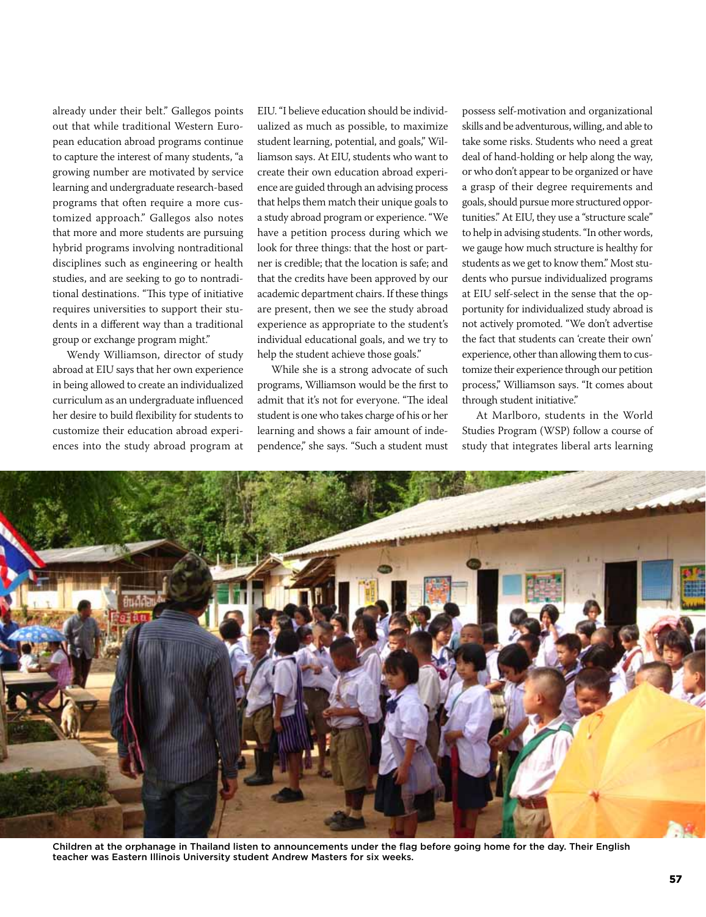already under their belt." Gallegos points out that while traditional Western European education abroad programs continue to capture the interest of many students, "a growing number are motivated by service learning and undergraduate research-based programs that often require a more customized approach." Gallegos also notes that more and more students are pursuing hybrid programs involving nontraditional disciplines such as engineering or health studies, and are seeking to go to nontraditional destinations. "This type of initiative requires universities to support their students in a different way than a traditional group or exchange program might."

Wendy Williamson, director of study abroad at EIU says that her own experience in being allowed to create an individualized curriculum as an undergraduate influenced her desire to build flexibility for students to customize their education abroad experiences into the study abroad program at

EIU. "I believe education should be individualized as much as possible, to maximize student learning, potential, and goals," Williamson says. At EIU, students who want to create their own education abroad experience are guided through an advising process that helps them match their unique goals to a study abroad program or experience. "We have a petition process during which we look for three things: that the host or partner is credible; that the location is safe; and that the credits have been approved by our academic department chairs. If these things are present, then we see the study abroad experience as appropriate to the student's individual educational goals, and we try to help the student achieve those goals."

While she is a strong advocate of such programs, Williamson would be the first to admit that it's not for everyone. "The ideal student is one who takes charge of his or her learning and shows a fair amount of independence," she says. "Such a student must

possess self-motivation and organizational skills and be adventurous, willing, and able to take some risks. Students who need a great deal of hand-holding or help along the way, or who don't appear to be organized or have a grasp of their degree requirements and goals, should pursue more structured opportunities." At EIU, they use a "structure scale" to help in advising students. "In other words, we gauge how much structure is healthy for students as we get to know them." Most students who pursue individualized programs at EIU self-select in the sense that the opportunity for individualized study abroad is not actively promoted. "We don't advertise the fact that students can 'create their own' experience, other than allowing them to customize their experience through our petition process," Williamson says. "It comes about through student initiative."

At Marlboro, students in the World Studies Program (WSP) follow a course of study that integrates liberal arts learning



Children at the orphanage in Thailand listen to announcements under the flag before going home for the day. Their English teacher was Eastern Illinois University student Andrew Masters for six weeks.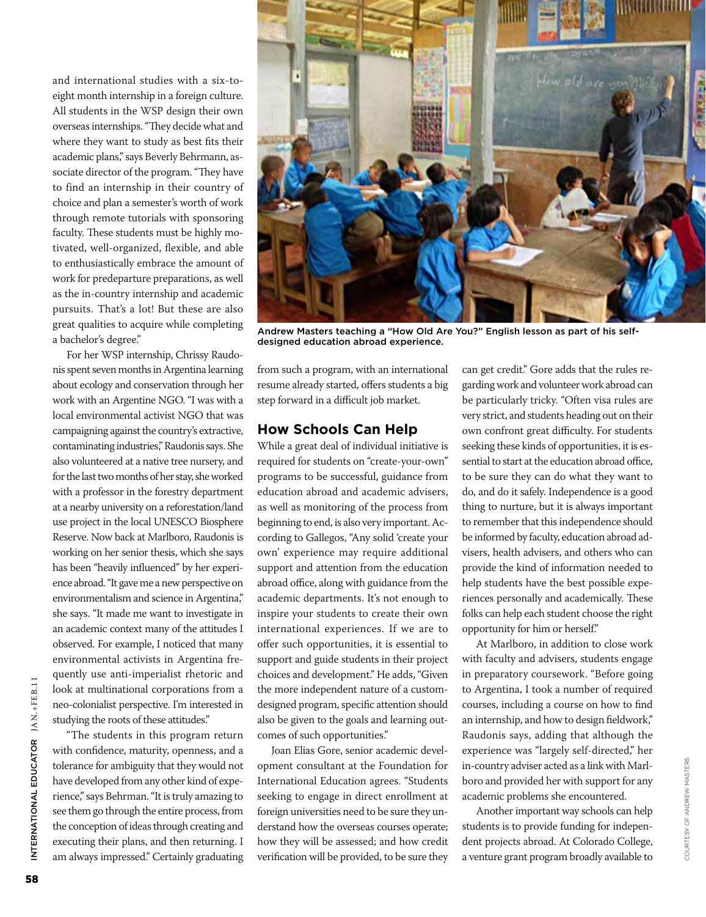and international studies with a six-toeight month internship in a foreign culture. All students in the WSP design their own overseas internships. "They decide what and where they want to study as best fits their academic plans," says Beverly Behrmann, associate director of the program. "They have to find an internship in their country of choice and plan a semester's worth of work through remote tutorials with sponsoring faculty. These students must be highly motivated, well-organized, flexible, and able to enthusiastically embrace the amount of work for predeparture preparations, as well as the in-country internship and academic pursuits. That's a lot! But these are also great qualities to acquire while completing a bachelor's degree."

For her WSP internship, Chrissy Raudonis spent seven months in Argentina learning about ecology and conservation through her work with an Argentine NGO. "I was with a local environmental activist NGO that was campaigning against the country's extractive, contaminating industries," Raudonis says. She also volunteered at a native tree nursery, and for the last two months of her stay, she worked with a professor in the forestry department at a nearby university on a reforestation/land use project in the local UNESCO Biosphere Reserve. Now back at Marlboro, Raudonis is working on her senior thesis, which she says has been "heavily influenced" by her experience abroad. "It gave me a new perspective on environmentalism and science in Argentina," she says. "It made me want to investigate in an academic context many of the attitudes I observed. For example, I noticed that many environmental activists in Argentina frequently use anti-imperialist rhetoric and look at multinational corporations from a neo-colonialist perspective. I'm interested in studying the roots of these attitudes."

"The students in this program return with confidence, maturity, openness, and a tolerance for ambiguity that they would not have developed from any other kind of experience," says Behrman. "It is truly amazing to see them go through the entire process, from the conception of ideas through creating and executing their plans, and then returning. I am always impressed." Certainly graduating



Andrew Masters teaching a "How Old Are You?" English lesson as part of his selfdesigned education abroad experience.

from such a program, with an international resume already started, offers students a big step forward in a difficult job market.

#### **How Schools Can Help**

While a great deal of individual initiative is required for students on "create-your-own" programs to be successful, guidance from education abroad and academic advisers, as well as monitoring of the process from beginning to end, is also very important. According to Gallegos, "Any solid 'create your own' experience may require additional support and attention from the education abroad office, along with guidance from the academic departments. It's not enough to inspire your students to create their own international experiences. If we are to offer such opportunities, it is essential to support and guide students in their project choices and development." He adds, "Given the more independent nature of a customdesigned program, specific attention should also be given to the goals and learning outcomes of such opportunities."

Joan Elias Gore, senior academic development consultant at the Foundation for International Education agrees. "Students seeking to engage in direct enrollment at foreign universities need to be sure they understand how the overseas courses operate; how they will be assessed; and how credit verification will be provided, to be sure they

can get credit." Gore adds that the rules regarding work and volunteer work abroad can be particularly tricky. "Often visa rules are very strict, and students heading out on their own confront great difficulty. For students seeking these kinds of opportunities, it is essential to start at the education abroad office, to be sure they can do what they want to do, and do it safely. Independence is a good thing to nurture, but it is always important to remember that this independence should be informed by faculty, education abroad advisers, health advisers, and others who can provide the kind of information needed to help students have the best possible experiences personally and academically. These folks can help each student choose the right opportunity for him or herself."

At Marlboro, in addition to close work with faculty and advisers, students engage in preparatory coursework. "Before going to Argentina, I took a number of required courses, including a course on how to find an internship, and how to design fieldwork," Raudonis says, adding that although the experience was "largely self-directed," her in-country adviser acted as a link with Marlboro and provided her with support for any academic problems she encountered.

Another important way schools can help students is to provide funding for independent projects abroad. At Colorado College, a venture grant program broadly available to

ATOR JAN.+FEB.11